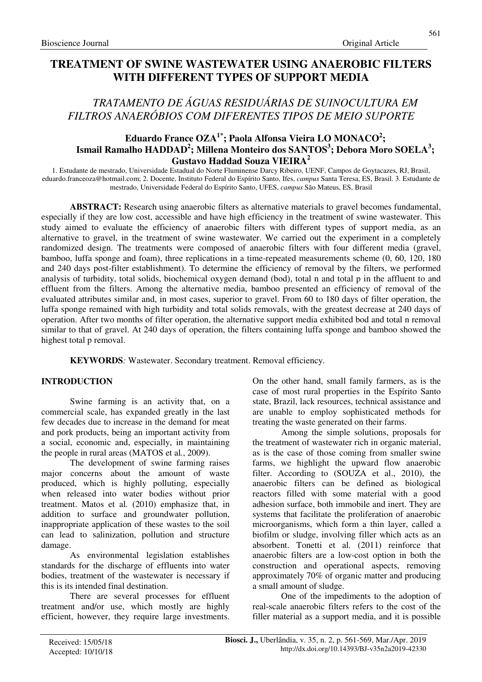# *TRATAMENTO DE ÁGUAS RESIDUÁRIAS DE SUINOCULTURA EM FILTROS ANAERÓBIOS COM DIFERENTES TIPOS DE MEIO SUPORTE*

## **Eduardo France OZA1\*; Paola Alfonsa Vieira LO MONACO<sup>2</sup> ; Ismail Ramalho HADDAD<sup>2</sup> ; Millena Monteiro dos SANTOS<sup>3</sup> ; Debora Moro SOELA<sup>3</sup> ; Gustavo Haddad Souza VIEIRA<sup>2</sup>**

1. Estudante de mestrado, Universidade Estadual do Norte Fluminense Darcy Ribeiro, UENF, Campos de Goytacazes, RJ, Brasil, eduardo.franceoza@hotmail.com; 2. Docente, Instituto Federal do Espírito Santo, Ifes, *campus* Santa Teresa, ES, Brasil. 3. Estudante de mestrado, Universidade Federal do Espírito Santo, UFES, *campus* São Mateus, ES, Brasil

**ABSTRACT:** Research using anaerobic filters as alternative materials to gravel becomes fundamental, especially if they are low cost, accessible and have high efficiency in the treatment of swine wastewater. This study aimed to evaluate the efficiency of anaerobic filters with different types of support media, as an alternative to gravel, in the treatment of swine wastewater. We carried out the experiment in a completely randomized design. The treatments were composed of anaerobic filters with four different media (gravel, bamboo, luffa sponge and foam), three replications in a time-repeated measurements scheme (0, 60, 120, 180 and 240 days post-filter establishment). To determine the efficiency of removal by the filters, we performed analysis of turbidity, total solids, biochemical oxygen demand (bod), total n and total p in the affluent to and effluent from the filters. Among the alternative media, bamboo presented an efficiency of removal of the evaluated attributes similar and, in most cases, superior to gravel. From 60 to 180 days of filter operation, the luffa sponge remained with high turbidity and total solids removals, with the greatest decrease at 240 days of operation. After two months of filter operation, the alternative support media exhibited bod and total n removal similar to that of gravel. At 240 days of operation, the filters containing luffa sponge and bamboo showed the highest total p removal.

**KEYWORDS***:* Wastewater. Secondary treatment. Removal efficiency.

## **INTRODUCTION**

Swine farming is an activity that, on a commercial scale, has expanded greatly in the last few decades due to increase in the demand for meat and pork products, being an important activity from a social, economic and, especially, in maintaining the people in rural areas (MATOS et al*.*, 2009).

The development of swine farming raises major concerns about the amount of waste produced, which is highly polluting, especially when released into water bodies without prior treatment. Matos et al*.* (2010) emphasize that, in addition to surface and groundwater pollution, inappropriate application of these wastes to the soil can lead to salinization, pollution and structure damage.

As environmental legislation establishes standards for the discharge of effluents into water bodies, treatment of the wastewater is necessary if this is its intended final destination.

There are several processes for effluent treatment and/or use, which mostly are highly efficient, however, they require large investments. On the other hand, small family farmers, as is the case of most rural properties in the Espírito Santo state, Brazil, lack resources, technical assistance and are unable to employ sophisticated methods for treating the waste generated on their farms.

Among the simple solutions, proposals for the treatment of wastewater rich in organic material, as is the case of those coming from smaller swine farms, we highlight the upward flow anaerobic filter. According to (SOUZA et al., 2010), the anaerobic filters can be defined as biological reactors filled with some material with a good adhesion surface, both immobile and inert. They are systems that facilitate the proliferation of anaerobic microorganisms, which form a thin layer, called a biofilm or sludge, involving filler which acts as an absorbent. Tonetti et al*.* (2011) reinforce that anaerobic filters are a low-cost option in both the construction and operational aspects, removing approximately 70% of organic matter and producing a small amount of sludge.

One of the impediments to the adoption of real-scale anaerobic filters refers to the cost of the filler material as a support media, and it is possible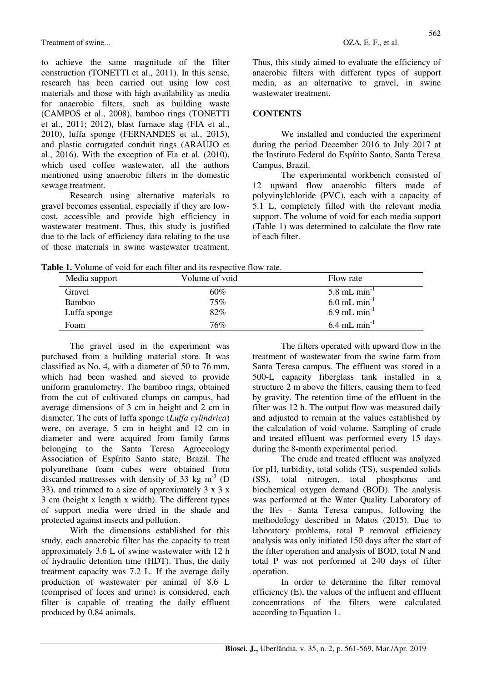Treatment of swine...  $OZA, E. F., et al.$ 

to achieve the same magnitude of the filter construction (TONETTI et al., 2011). In this sense, research has been carried out using low cost materials and those with high availability as media for anaerobic filters, such as building waste (CAMPOS et al., 2008), bamboo rings (TONETTI et al., 2011; 2012), blast furnace slag (FIA et al., 2010), luffa sponge (FERNANDES et al*.*, 2015), and plastic corrugated conduit rings (ARAÚJO et al., 2016). With the exception of Fia et al*.* (2010), which used coffee wastewater, all the authors mentioned using anaerobic filters in the domestic sewage treatment.

Research using alternative materials to gravel becomes essential, especially if they are lowcost, accessible and provide high efficiency in wastewater treatment. Thus, this study is justified due to the lack of efficiency data relating to the use of these materials in swine wastewater treatment. Thus, this study aimed to evaluate the efficiency of anaerobic filters with different types of support media, as an alternative to gravel, in swine wastewater treatment.

#### **CONTENTS**

We installed and conducted the experiment during the period December 2016 to July 2017 at the Instituto Federal do Espírito Santo, Santa Teresa Campus, Brazil.

The experimental workbench consisted of 12 upward flow anaerobic filters made of polyvinylchloride (PVC), each with a capacity of 5.1 L, completely filled with the relevant media support. The volume of void for each media support (Table 1) was determined to calculate the flow rate of each filter.

**Table 1.** Volume of void for each filter and its respective flow rate.

| Media support | Volume of void | Flow rate                  |  |  |
|---------------|----------------|----------------------------|--|--|
| Gravel        | 60%            | $5.8$ mL min <sup>-1</sup> |  |  |
| <b>Bamboo</b> | 75%            | $6.0$ mL min <sup>-1</sup> |  |  |
| Luffa sponge  | 82%            | $6.9$ mL min <sup>-1</sup> |  |  |
| Foam          | 76%            | $6.4$ mL min <sup>-1</sup> |  |  |

The gravel used in the experiment was purchased from a building material store. It was classified as No. 4, with a diameter of 50 to 76 mm, which had been washed and sieved to provide uniform granulometry. The bamboo rings, obtained from the cut of cultivated clumps on campus, had average dimensions of 3 cm in height and 2 cm in diameter. The cuts of luffa sponge (*Luffa cylindrica*) were, on average, 5 cm in height and 12 cm in diameter and were acquired from family farms belonging to the Santa Teresa Agroecology Association of Espírito Santo state, Brazil. The polyurethane foam cubes were obtained from discarded mattresses with density of 33 kg  $m<sup>-3</sup>$  (D) 33), and trimmed to a size of approximately  $3 \times 3 \times 3$ 3 cm (height x length x width). The different types of support media were dried in the shade and protected against insects and pollution.

With the dimensions established for this study, each anaerobic filter has the capacity to treat approximately 3.6 L of swine wastewater with 12 h of hydraulic detention time (HDT). Thus, the daily treatment capacity was 7.2 L. If the average daily production of wastewater per animal of 8.6 L (comprised of feces and urine) is considered, each filter is capable of treating the daily effluent produced by 0.84 animals.

The filters operated with upward flow in the treatment of wastewater from the swine farm from Santa Teresa campus. The effluent was stored in a 500-L capacity fiberglass tank installed in a structure 2 m above the filters, causing them to feed by gravity. The retention time of the effluent in the filter was 12 h. The output flow was measured daily and adjusted to remain at the values established by the calculation of void volume. Sampling of crude and treated effluent was performed every 15 days during the 8-month experimental period.

The crude and treated effluent was analyzed for pH, turbidity, total solids (TS), suspended solids (SS), total nitrogen, total phosphorus and biochemical oxygen demand (BOD). The analysis was performed at the Water Quality Laboratory of the Ifes - Santa Teresa campus, following the methodology described in Matos (2015). Due to laboratory problems, total P removal efficiency analysis was only initiated 150 days after the start of the filter operation and analysis of BOD, total N and total P was not performed at 240 days of filter operation.

In order to determine the filter removal efficiency (E), the values of the influent and effluent concentrations of the filters were calculated according to Equation 1.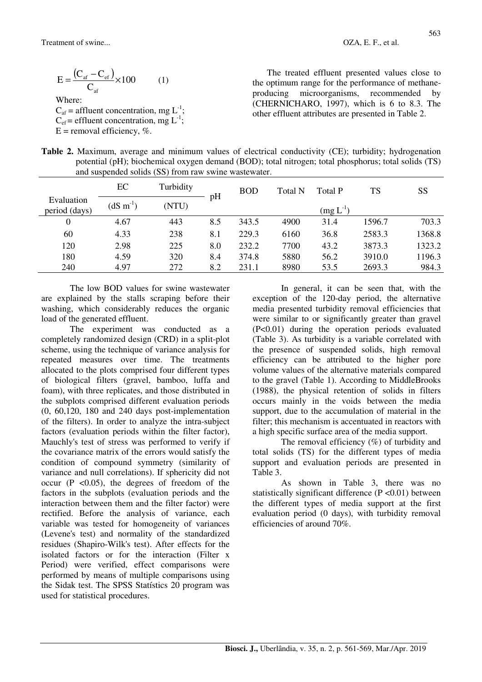$\frac{\left(C_{\text{af}}-C_{\text{ef}}\right)}{2}\times100$  $\mathcal{C}_{0}^{(n)}$  $E = \frac{(C_{\text{af}} - C)}{2}$ af  $=\frac{(C_{\text{af}}-C_{\text{ef}})}{2} \times 100$  (1) Where:

 $C_{\text{af}}$  = affluent concentration, mg L<sup>-1</sup>;  $C_{\text{ef}}$  = effluent concentration, mg  $L^{-1}$ ;

 $E =$  removal efficiency, %.

The treated effluent presented values close to the optimum range for the performance of methaneproducing microorganisms, recommended by (CHERNICHARO, 1997), which is 6 to 8.3. The other effluent attributes are presented in Table 2.

| Table 2. Maximum, average and minimum values of electrical conductivity (CE); turbidity; hydrogenation |
|--------------------------------------------------------------------------------------------------------|
| potential (pH); biochemical oxygen demand (BOD); total nitrogen; total phosphorus; total solids (TS)   |
| and suspended solids (SS) from raw swine was tewater.                                                  |

|                             | EC               | Turbidity |     | <b>BOD</b> | Total N | Total P       | TS     | SS     |
|-----------------------------|------------------|-----------|-----|------------|---------|---------------|--------|--------|
| Evaluation<br>period (days) | $(dS \, m^{-1})$ | (NTU)     | pH  |            |         | $(mg L^{-1})$ |        |        |
| 0                           | 4.67             | 443       | 8.5 | 343.5      | 4900    | 31.4          | 1596.7 | 703.3  |
| 60                          | 4.33             | 238       | 8.1 | 229.3      | 6160    | 36.8          | 2583.3 | 1368.8 |
| 120                         | 2.98             | 225       | 8.0 | 232.2      | 7700    | 43.2          | 3873.3 | 1323.2 |
| 180                         | 4.59             | 320       | 8.4 | 374.8      | 5880    | 56.2          | 3910.0 | 1196.3 |
| 240                         | 4.97             | 272       | 8.2 | 231.1      | 8980    | 53.5          | 2693.3 | 984.3  |

The low BOD values for swine wastewater are explained by the stalls scraping before their washing, which considerably reduces the organic load of the generated effluent.

The experiment was conducted as a completely randomized design (CRD) in a split-plot scheme, using the technique of variance analysis for repeated measures over time. The treatments allocated to the plots comprised four different types of biological filters (gravel, bamboo, luffa and foam), with three replicates, and those distributed in the subplots comprised different evaluation periods (0, 60,120, 180 and 240 days post-implementation of the filters). In order to analyze the intra-subject factors (evaluation periods within the filter factor), Mauchly's test of stress was performed to verify if the covariance matrix of the errors would satisfy the condition of compound symmetry (similarity of variance and null correlations). If sphericity did not occur  $(P \le 0.05)$ , the degrees of freedom of the factors in the subplots (evaluation periods and the interaction between them and the filter factor) were rectified. Before the analysis of variance, each variable was tested for homogeneity of variances (Levene's test) and normality of the standardized residues (Shapiro-Wilk's test). After effects for the isolated factors or for the interaction (Filter x Period) were verified, effect comparisons were performed by means of multiple comparisons using the Sidak test. The SPSS Statístics 20 program was used for statistical procedures.

In general, it can be seen that, with the exception of the 120-day period, the alternative media presented turbidity removal efficiencies that were similar to or significantly greater than gravel (P<0.01) during the operation periods evaluated (Table 3). As turbidity is a variable correlated with the presence of suspended solids, high removal efficiency can be attributed to the higher pore volume values of the alternative materials compared to the gravel (Table 1). According to MiddleBrooks (1988), the physical retention of solids in filters occurs mainly in the voids between the media support, due to the accumulation of material in the filter; this mechanism is accentuated in reactors with a high specific surface area of the media support.

The removal efficiency  $(\%)$  of turbidity and total solids (TS) for the different types of media support and evaluation periods are presented in Table 3.

As shown in Table 3, there was no statistically significant difference (P < 0.01) between the different types of media support at the first evaluation period (0 days), with turbidity removal efficiencies of around 70%.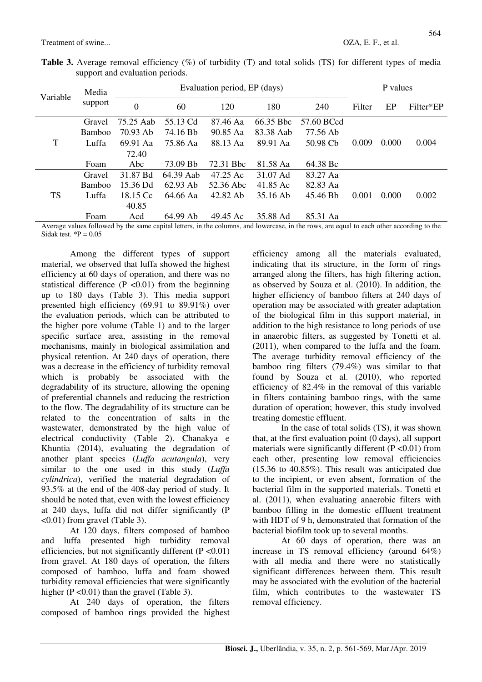| Variable  | Media<br>support | Evaluation period, EP (days) |            |                       |           |            |        | P values |           |  |
|-----------|------------------|------------------------------|------------|-----------------------|-----------|------------|--------|----------|-----------|--|
|           |                  | $\theta$                     | 60         | 120                   | 180       | 240        | Filter | EP       | Filter*EP |  |
| T         | Gravel           | 75.25 Aab                    | 55.13 Cd   | 87.46 Aa              | 66.35 Bbc | 57.60 BCcd |        |          |           |  |
|           | <b>Bamboo</b>    | 70.93 Ab                     | 74.16 Bb   | 90.85 Aa              | 83.38 Aab | 77.56 Ab   |        |          |           |  |
|           | Luffa            | 69.91 Aa                     | 75.86 Aa   | 88.13 Aa              | 89.91 Aa  | 50.98 Cb   | 0.009  | 0.000    | 0.004     |  |
|           |                  | 72.40                        |            |                       |           |            |        |          |           |  |
|           | Foam             | Abc                          | 73.09 Bb   | 72.31 B <sub>bc</sub> | 81.58 Aa  | 64.38 Bc   |        |          |           |  |
| <b>TS</b> | Gravel           | 31.87 Bd                     | 64.39 Aab  | 47.25 Ac              | 31.07 Ad  | 83.27 Aa   |        |          |           |  |
|           | <b>Bamboo</b>    | 15.36 Dd                     | $62.93$ Ab | 52.36 Abc             | 41.85 Ac  | 82.83 Aa   |        |          |           |  |
|           | Luffa            | 18.15 Cc                     | 64.66 Aa   | 42.82 Ab              | 35.16 Ab  | 45.46 Bb   | 0.001  | 0.000    | 0.002     |  |
|           |                  | 40.85                        |            |                       |           |            |        |          |           |  |
|           | Foam             | Acd                          | 64.99 Ab   | 49.45 Ac              | 35.88 Ad  | 85.31 Aa   |        |          |           |  |

Table 3. Average removal efficiency (%) of turbidity (T) and total solids (TS) for different types of media support and evaluation periods.

Average values followed by the same capital letters, in the columns, and lowercase, in the rows, are equal to each other according to the Sidak test.  ${}^*P = 0.05$ 

Among the different types of support material, we observed that luffa showed the highest efficiency at 60 days of operation, and there was no statistical difference ( $P \le 0.01$ ) from the beginning up to 180 days (Table 3). This media support presented high efficiency (69.91 to 89.91%) over the evaluation periods, which can be attributed to the higher pore volume (Table 1) and to the larger specific surface area, assisting in the removal mechanisms, mainly in biological assimilation and physical retention. At 240 days of operation, there was a decrease in the efficiency of turbidity removal which is probably be associated with the degradability of its structure, allowing the opening of preferential channels and reducing the restriction to the flow. The degradability of its structure can be related to the concentration of salts in the wastewater, demonstrated by the high value of electrical conductivity (Table 2). Chanakya e Khuntia (2014), evaluating the degradation of another plant species (*Luffa acutangula*), very similar to the one used in this study (*Luffa cylindrica*), verified the material degradation of 93.5% at the end of the 408-day period of study. It should be noted that, even with the lowest efficiency at 240 days, luffa did not differ significantly (P <0.01) from gravel (Table 3).

At 120 days, filters composed of bamboo and luffa presented high turbidity removal efficiencies, but not significantly different  $(P < 0.01)$ from gravel. At 180 days of operation, the filters composed of bamboo, luffa and foam showed turbidity removal efficiencies that were significantly higher  $(P < 0.01)$  than the gravel (Table 3).

At 240 days of operation, the filters composed of bamboo rings provided the highest efficiency among all the materials evaluated, indicating that its structure, in the form of rings arranged along the filters, has high filtering action, as observed by Souza et al. (2010). In addition, the higher efficiency of bamboo filters at 240 days of operation may be associated with greater adaptation of the biological film in this support material, in addition to the high resistance to long periods of use in anaerobic filters, as suggested by Tonetti et al. (2011), when compared to the luffa and the foam. The average turbidity removal efficiency of the bamboo ring filters (79.4%) was similar to that found by Souza et al. (2010), who reported efficiency of 82.4% in the removal of this variable in filters containing bamboo rings, with the same duration of operation; however, this study involved treating domestic effluent.

In the case of total solids (TS), it was shown that, at the first evaluation point (0 days), all support materials were significantly different  $(P \le 0.01)$  from each other, presenting low removal efficiencies (15.36 to 40.85%). This result was anticipated due to the incipient, or even absent, formation of the bacterial film in the supported materials. Tonetti et al. (2011), when evaluating anaerobic filters with bamboo filling in the domestic effluent treatment with HDT of 9 h, demonstrated that formation of the bacterial biofilm took up to several months.

At 60 days of operation, there was an increase in TS removal efficiency (around 64%) with all media and there were no statistically significant differences between them. This result may be associated with the evolution of the bacterial film, which contributes to the wastewater TS removal efficiency.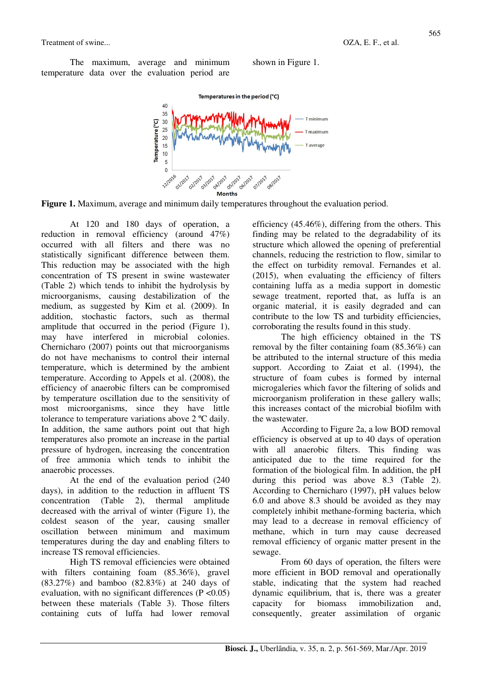The maximum, average and minimum temperature data over the evaluation period are



shown in Figure 1.



At 120 and 180 days of operation, a reduction in removal efficiency (around 47%) occurred with all filters and there was no statistically significant difference between them. This reduction may be associated with the high concentration of TS present in swine wastewater (Table 2) which tends to inhibit the hydrolysis by microorganisms, causing destabilization of the medium, as suggested by Kim et al*.* (2009). In addition, stochastic factors, such as thermal amplitude that occurred in the period (Figure 1), may have interfered in microbial colonies. Chernicharo (2007) points out that microorganisms do not have mechanisms to control their internal temperature, which is determined by the ambient temperature. According to Appels et al. (2008), the efficiency of anaerobic filters can be compromised by temperature oscillation due to the sensitivity of most microorganisms, since they have little tolerance to temperature variations above 2 ºC daily. In addition, the same authors point out that high temperatures also promote an increase in the partial pressure of hydrogen, increasing the concentration of free ammonia which tends to inhibit the anaerobic processes.

At the end of the evaluation period (240 days), in addition to the reduction in affluent TS concentration (Table 2), thermal amplitude decreased with the arrival of winter (Figure 1), the coldest season of the year, causing smaller oscillation between minimum and maximum temperatures during the day and enabling filters to increase TS removal efficiencies.

High TS removal efficiencies were obtained with filters containing foam (85.36%), gravel (83.27%) and bamboo (82.83%) at 240 days of evaluation, with no significant differences ( $P < 0.05$ ) between these materials (Table 3). Those filters containing cuts of luffa had lower removal efficiency (45.46%), differing from the others. This finding may be related to the degradability of its structure which allowed the opening of preferential channels, reducing the restriction to flow, similar to the effect on turbidity removal. Fernandes et al. (2015), when evaluating the efficiency of filters containing luffa as a media support in domestic sewage treatment, reported that, as luffa is an organic material, it is easily degraded and can contribute to the low TS and turbidity efficiencies, corroborating the results found in this study.

The high efficiency obtained in the TS removal by the filter containing foam (85.36%) can be attributed to the internal structure of this media support. According to Zaiat et al. (1994), the structure of foam cubes is formed by internal microgaleries which favor the filtering of solids and microorganism proliferation in these gallery walls; this increases contact of the microbial biofilm with the wastewater.

According to Figure 2a, a low BOD removal efficiency is observed at up to 40 days of operation with all anaerobic filters. This finding was anticipated due to the time required for the formation of the biological film. In addition, the pH during this period was above 8.3 (Table 2). According to Chernicharo (1997), pH values below 6.0 and above 8.3 should be avoided as they may completely inhibit methane-forming bacteria, which may lead to a decrease in removal efficiency of methane, which in turn may cause decreased removal efficiency of organic matter present in the sewage.

From 60 days of operation, the filters were more efficient in BOD removal and operationally stable, indicating that the system had reached dynamic equilibrium, that is, there was a greater capacity for biomass immobilization and, consequently, greater assimilation of organic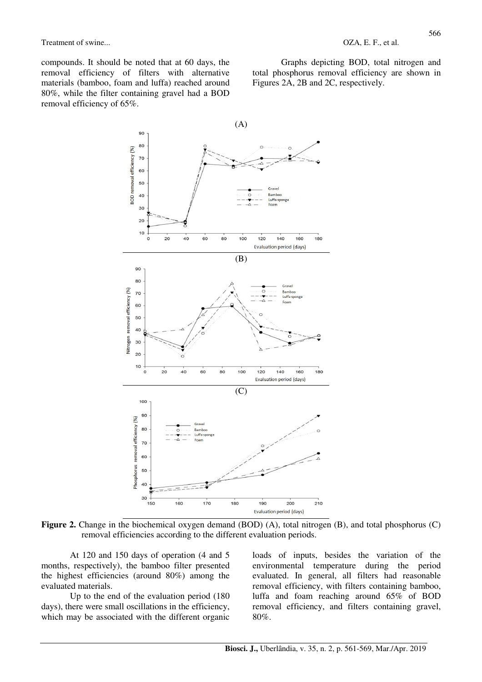compounds. It should be noted that at 60 days, the removal efficiency of filters with alternative materials (bamboo, foam and luffa) reached around 80%, while the filter containing gravel had a BOD removal efficiency of 65%.

Graphs depicting BOD, total nitrogen and total phosphorus removal efficiency are shown in Figures 2A, 2B and 2C, respectively.



**Figure 2.** Change in the biochemical oxygen demand (BOD) (A), total nitrogen (B), and total phosphorus (C) removal efficiencies according to the different evaluation periods.

190

 $200$ Evaluation period (days)

180

At 120 and 150 days of operation (4 and 5 months, respectively), the bamboo filter presented the highest efficiencies (around 80%) among the evaluated materials.

150

160

170

Up to the end of the evaluation period (180 days), there were small oscillations in the efficiency, which may be associated with the different organic

loads of inputs, besides the variation of the environmental temperature during the period evaluated. In general, all filters had reasonable removal efficiency, with filters containing bamboo, luffa and foam reaching around 65% of BOD removal efficiency, and filters containing gravel, 80%.

 $210$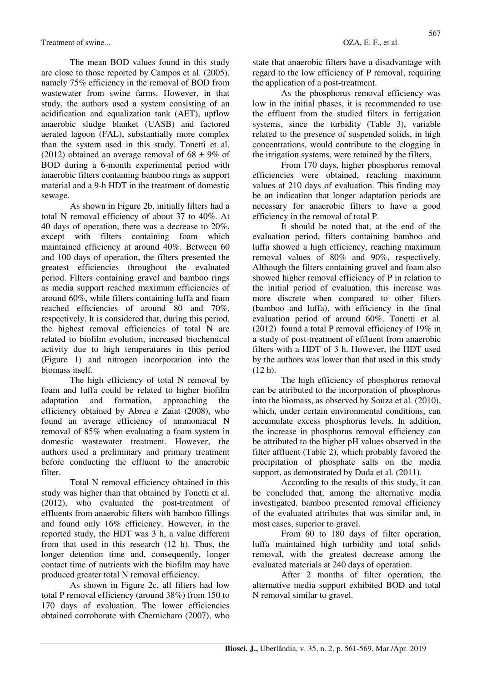Treatment of swine...  $OZA, E. F., et al.$ 

The mean BOD values found in this study are close to those reported by Campos et al. (2005), namely 75% efficiency in the removal of BOD from wastewater from swine farms. However, in that study, the authors used a system consisting of an acidification and equalization tank (AET), upflow anaerobic sludge blanket (UASB) and factored aerated lagoon (FAL), substantially more complex than the system used in this study. Tonetti et al. (2012) obtained an average removal of  $68 \pm 9\%$  of BOD during a 6-month experimental period with anaerobic filters containing bamboo rings as support material and a 9-h HDT in the treatment of domestic sewage.

As shown in Figure 2b, initially filters had a total N removal efficiency of about 37 to 40%. At 40 days of operation, there was a decrease to 20%, except with filters containing foam which maintained efficiency at around 40%. Between 60 and 100 days of operation, the filters presented the greatest efficiencies throughout the evaluated period. Filters containing gravel and bamboo rings as media support reached maximum efficiencies of around 60%, while filters containing luffa and foam reached efficiencies of around 80 and 70%, respectively. It is considered that, during this period, the highest removal efficiencies of total N are related to biofilm evolution, increased biochemical activity due to high temperatures in this period (Figure 1) and nitrogen incorporation into the biomass itself.

The high efficiency of total N removal by foam and luffa could be related to higher biofilm adaptation and formation, approaching the efficiency obtained by Abreu e Zaiat (2008), who found an average efficiency of ammoniacal N removal of 85% when evaluating a foam system in domestic wastewater treatment. However, the authors used a preliminary and primary treatment before conducting the effluent to the anaerobic filter.

Total N removal efficiency obtained in this study was higher than that obtained by Tonetti et al. (2012), who evaluated the post-treatment of effluents from anaerobic filters with bamboo fillings and found only 16% efficiency. However, in the reported study, the HDT was 3 h, a value different from that used in this research (12 h). Thus, the longer detention time and, consequently, longer contact time of nutrients with the biofilm may have produced greater total N removal efficiency.

As shown in Figure 2c, all filters had low total P removal efficiency (around 38%) from 150 to 170 days of evaluation. The lower efficiencies obtained corroborate with Chernicharo (2007), who state that anaerobic filters have a disadvantage with regard to the low efficiency of P removal, requiring the application of a post-treatment.

As the phosphorus removal efficiency was low in the initial phases, it is recommended to use the effluent from the studied filters in fertigation systems, since the turbidity (Table 3), variable related to the presence of suspended solids, in high concentrations, would contribute to the clogging in the irrigation systems, were retained by the filters.

From 170 days, higher phosphorus removal efficiencies were obtained, reaching maximum values at 210 days of evaluation. This finding may be an indication that longer adaptation periods are necessary for anaerobic filters to have a good efficiency in the removal of total P.

It should be noted that, at the end of the evaluation period, filters containing bamboo and luffa showed a high efficiency, reaching maximum removal values of 80% and 90%, respectively. Although the filters containing gravel and foam also showed higher removal efficiency of P in relation to the initial period of evaluation, this increase was more discrete when compared to other filters (bamboo and luffa), with efficiency in the final evaluation period of around 60%. Tonetti et al. (2012) found a total P removal efficiency of 19% in a study of post-treatment of effluent from anaerobic filters with a HDT of 3 h. However, the HDT used by the authors was lower than that used in this study (12 h).

The high efficiency of phosphorus removal can be attributed to the incorporation of phosphorus into the biomass, as observed by Souza et al*.* (2010), which, under certain environmental conditions, can accumulate excess phosphorus levels. In addition, the increase in phosphorus removal efficiency can be attributed to the higher pH values observed in the filter affluent (Table 2), which probably favored the precipitation of phosphate salts on the media support, as demonstrated by Duda et al*.* (2011).

According to the results of this study, it can be concluded that, among the alternative media investigated, bamboo presented removal efficiency of the evaluated attributes that was similar and, in most cases, superior to gravel.

From 60 to 180 days of filter operation, luffa maintained high turbidity and total solids removal, with the greatest decrease among the evaluated materials at 240 days of operation.

After 2 months of filter operation, the alternative media support exhibited BOD and total N removal similar to gravel.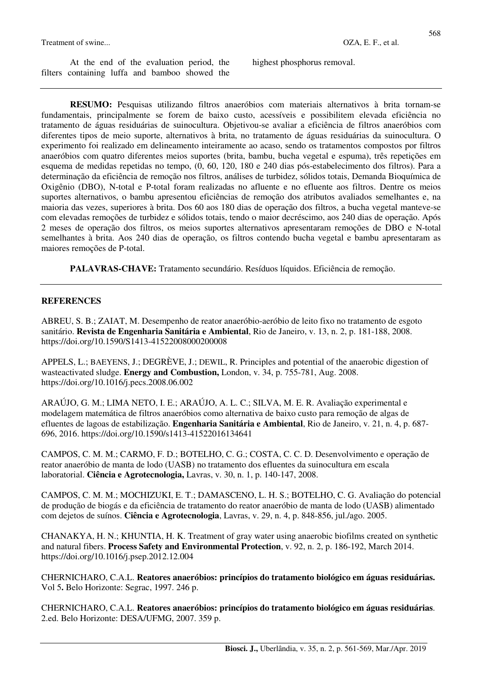#### Treatment of swine...  $OZA, E. F., et al.$

At the end of the evaluation period, the filters containing luffa and bamboo showed the

highest phosphorus removal.

**RESUMO:** Pesquisas utilizando filtros anaeróbios com materiais alternativos à brita tornam-se fundamentais, principalmente se forem de baixo custo, acessíveis e possibilitem elevada eficiência no tratamento de águas residuárias de suinocultura. Objetivou-se avaliar a eficiência de filtros anaeróbios com diferentes tipos de meio suporte, alternativos à brita, no tratamento de águas residuárias da suinocultura. O experimento foi realizado em delineamento inteiramente ao acaso, sendo os tratamentos compostos por filtros anaeróbios com quatro diferentes meios suportes (brita, bambu, bucha vegetal e espuma), três repetições em esquema de medidas repetidas no tempo, (0, 60, 120, 180 e 240 dias pós-estabelecimento dos filtros). Para a determinação da eficiência de remoção nos filtros, análises de turbidez, sólidos totais, Demanda Bioquímica de Oxigênio (DBO), N-total e P-total foram realizadas no afluente e no efluente aos filtros. Dentre os meios suportes alternativos, o bambu apresentou eficiências de remoção dos atributos avaliados semelhantes e, na maioria das vezes, superiores à brita. Dos 60 aos 180 dias de operação dos filtros, a bucha vegetal manteve-se com elevadas remoções de turbidez e sólidos totais, tendo o maior decréscimo, aos 240 dias de operação. Após 2 meses de operação dos filtros, os meios suportes alternativos apresentaram remoções de DBO e N-total semelhantes à brita. Aos 240 dias de operação, os filtros contendo bucha vegetal e bambu apresentaram as maiores remoções de P-total.

**PALAVRAS-CHAVE:** Tratamento secundário. Resíduos líquidos. Eficiência de remoção.

### **REFERENCES**

ABREU, S. B.; ZAIAT, M. Desempenho de reator anaeróbio-aeróbio de leito fixo no tratamento de esgoto sanitário. **Revista de Engenharia Sanitária e Ambiental**, Rio de Janeiro, v. 13, n. 2, p. 181-188, 2008. https://doi.org/10.1590/S1413-41522008000200008

APPELS, L.; BAEYENS, J.; DEGRÈVE, J.; DEWIL, R. Principles and potential of the anaerobic digestion of wasteactivated sludge. **Energy and Combustion,** London, v. 34, p. 755-781, Aug. 2008. https://doi.org/10.1016/j.pecs.2008.06.002

ARAÚJO, G. M.; LIMA NETO, I. E.; ARAÚJO, A. L. C.; SILVA, M. E. R. Avaliação experimental e modelagem matemática de filtros anaeróbios como alternativa de baixo custo para remoção de algas de efluentes de lagoas de estabilização. **Engenharia Sanitária e Ambiental**, Rio de Janeiro, v. 21, n. 4, p. 687- 696, 2016. https://doi.org/10.1590/s1413-41522016134641

CAMPOS, C. M. M.; CARMO, F. D.; BOTELHO, C. G.; COSTA, C. C. D. Desenvolvimento e operação de reator anaeróbio de manta de lodo (UASB) no tratamento dos efluentes da suinocultura em escala laboratorial. **Ciência e Agrotecnologia,** Lavras, v. 30, n. 1, p. 140-147, 2008.

CAMPOS, C. M. M.; MOCHIZUKI, E. T.; DAMASCENO, L. H. S.; BOTELHO, C. G. Avaliação do potencial de produção de biogás e da eficiência de tratamento do reator anaeróbio de manta de lodo (UASB) alimentado com dejetos de suínos. **Ciência e Agrotecnologia**, Lavras, v. 29, n. 4, p. 848-856, jul./ago. 2005.

CHANAKYA, H. N.; KHUNTIA, H. K. Treatment of gray water using anaerobic biofilms created on synthetic and natural fibers. **Process Safety and Environmental Protection**, v. 92, n. 2, p. 186-192, March 2014. https://doi.org/10.1016/j.psep.2012.12.004

CHERNICHARO, C.A.L. **Reatores anaeróbios: princípios do tratamento biológico em águas residuárias.**  Vol 5**.** Belo Horizonte: Segrac, 1997. 246 p.

CHERNICHARO, C.A.L. **Reatores anaeróbios: princípios do tratamento biológico em águas residuárias**. 2.ed. Belo Horizonte: DESA/UFMG, 2007. 359 p.